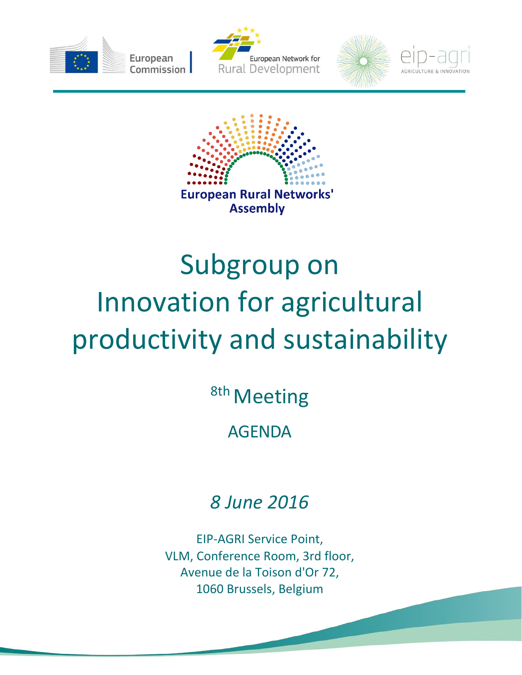









## Subgroup on Innovation for agricultural productivity and sustainability

<sup>8th</sup> Meeting

AGENDA

## *8 June 2016*

EIP-AGRI Service Point, VLM, Conference Room, 3rd floor, Avenue de la Toison d'Or 72, 1060 Brussels, Belgium